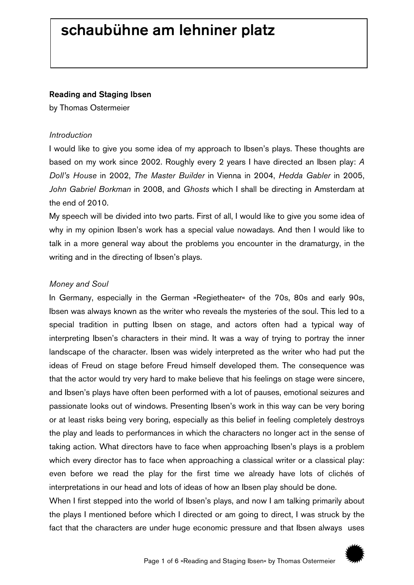# schaubühne am lehniner platz

### Reading and Staging Ibsen

by Thomas Ostermeier

#### *Introduction*

I would like to give you some idea of my approach to Ibsen's plays. These thoughts are based on my work since 2002. Roughly every 2 years I have directed an Ibsen play: *A Doll's House* in 2002, *The Master Builder* in Vienna in 2004, *Hedda Gabler* in 2005, *John Gabriel Borkman* in 2008, and *Ghosts* which I shall be directing in Amsterdam at the end of 2010.

My speech will be divided into two parts. First of all, I would like to give you some idea of why in my opinion Ibsen's work has a special value nowadays. And then I would like to talk in a more general way about the problems you encounter in the dramaturgy, in the writing and in the directing of Ibsen's plays.

## *Money and Soul*

In Germany, especially in the German »Regietheater« of the 70s, 80s and early 90s, Ibsen was always known as the writer who reveals the mysteries of the soul. This led to a special tradition in putting Ibsen on stage, and actors often had a typical way of interpreting Ibsen's characters in their mind. It was a way of trying to portray the inner landscape of the character. Ibsen was widely interpreted as the writer who had put the ideas of Freud on stage before Freud himself developed them. The consequence was that the actor would try very hard to make believe that his feelings on stage were sincere, and Ibsen's plays have often been performed with a lot of pauses, emotional seizures and passionate looks out of windows. Presenting Ibsen's work in this way can be very boring or at least risks being very boring, especially as this belief in feeling completely destroys the play and leads to performances in which the characters no longer act in the sense of taking action. What directors have to face when approaching Ibsen's plays is a problem which every director has to face when approaching a classical writer or a classical play: even before we read the play for the first time we already have lots of clichés of interpretations in our head and lots of ideas of how an Ibsen play should be done.

When I first stepped into the world of Ibsen's plays, and now I am talking primarily about the plays I mentioned before which I directed or am going to direct, I was struck by the fact that the characters are under huge economic pressure and that Ibsen always uses

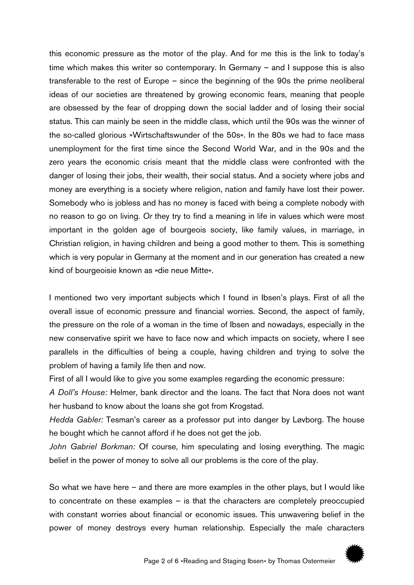this economic pressure as the motor of the play. And for me this is the link to today's time which makes this writer so contemporary. In Germany – and I suppose this is also transferable to the rest of Europe – since the beginning of the 90s the prime neoliberal ideas of our societies are threatened by growing economic fears, meaning that people are obsessed by the fear of dropping down the social ladder and of losing their social status. This can mainly be seen in the middle class, which until the 90s was the winner of the so-called glorious »Wirtschaftswunder of the 50s«. In the 80s we had to face mass unemployment for the first time since the Second World War, and in the 90s and the zero years the economic crisis meant that the middle class were confronted with the danger of losing their jobs, their wealth, their social status. And a society where jobs and money are everything is a society where religion, nation and family have lost their power. Somebody who is jobless and has no money is faced with being a complete nobody with no reason to go on living. *Or* they try to find a meaning in life in values which were most important in the golden age of bourgeois society, like family values, in marriage, in Christian religion, in having children and being a good mother to them. This is something which is very popular in Germany at the moment and in our generation has created a new kind of bourgeoisie known as »die neue Mitte«.

I mentioned two very important subjects which I found in Ibsen's plays. First of all the overall issue of economic pressure and financial worries. Second, the aspect of family, the pressure on the role of a woman in the time of Ibsen and nowadays, especially in the new conservative spirit we have to face now and which impacts on society, where I see parallels in the difficulties of being a couple, having children and trying to solve the problem of having a family life then and now.

First of all I would like to give you some examples regarding the economic pressure:

*A Doll's House:* Helmer, bank director and the loans. The fact that Nora does not want her husband to know about the loans she got from Krogstad.

*Hedda Gabler:* Tesman's career as a professor put into danger by Løvborg. The house he bought which he cannot afford if he does not get the job.

*John Gabriel Borkman:* Of course, him speculating and losing everything. The magic belief in the power of money to solve all our problems is the core of the play.

So what we have here – and there are more examples in the other plays, but I would like to concentrate on these examples – is that the characters are completely preoccupied with constant worries about financial or economic issues. This unwavering belief in the power of money destroys every human relationship. Especially the male characters

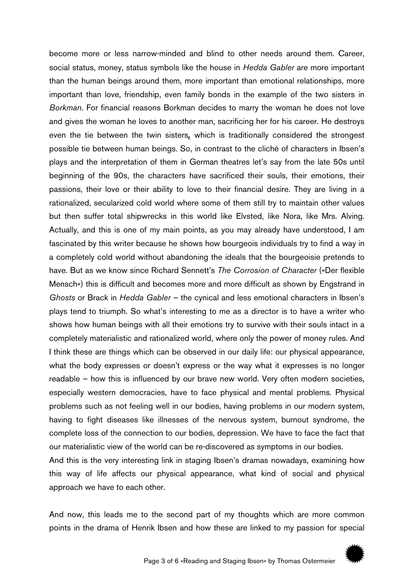become more or less narrow-minded and blind to other needs around them. Career, social status, money, status symbols like the house in *Hedda Gabler* are more important than the human beings around them, more important than emotional relationships, more important than love, friendship, even family bonds in the example of the two sisters in *Borkman*. For financial reasons Borkman decides to marry the woman he does not love and gives the woman he loves to another man, sacrificing her for his career. He destroys even the tie between the twin sisters*,* which is traditionally considered the strongest possible tie between human beings. So, in contrast to the cliché of characters in Ibsen's plays and the interpretation of them in German theatres let's say from the late 50s until beginning of the 90s, the characters have sacrificed their souls, their emotions, their passions, their love or their ability to love to their financial desire. They are living in a rationalized, secularized cold world where some of them still try to maintain other values but then suffer total shipwrecks in this world like Elvsted, like Nora, like Mrs. Alving. Actually, and this is one of my main points, as you may already have understood, I am fascinated by this writer because he shows how bourgeois individuals try to find a way in a completely cold world without abandoning the ideals that the bourgeoisie pretends to have. But as we know since Richard Sennett's *The Corrosion of Character* (»Der flexible Mensch«) this is difficult and becomes more and more difficult as shown by Engstrand in *Ghosts* or Brack in *Hedda Gabler* – the cynical and less emotional characters in Ibsen's plays tend to triumph. So what's interesting to me as a director is to have a writer who shows how human beings with all their emotions try to survive with their souls intact in a completely materialistic and rationalized world, where only the power of money rules. And I think these are things which can be observed in our daily life: our physical appearance, what the body expresses or doesn't express or the way what it expresses is no longer readable – how this is influenced by our brave new world. Very often modern societies, especially western democracies, have to face physical and mental problems. Physical problems such as not feeling well in our bodies, having problems in our modern system, having to fight diseases like illnesses of the nervous system, burnout syndrome, the complete loss of the connection to our bodies, depression. We have to face the fact that our materialistic view of the world can be re-discovered as symptoms in our bodies.

And this is the very interesting link in staging Ibsen's dramas nowadays, examining how this way of life affects our physical appearance, what kind of social and physical approach we have to each other.

And now, this leads me to the second part of my thoughts which are more common points in the drama of Henrik Ibsen and how these are linked to my passion for special

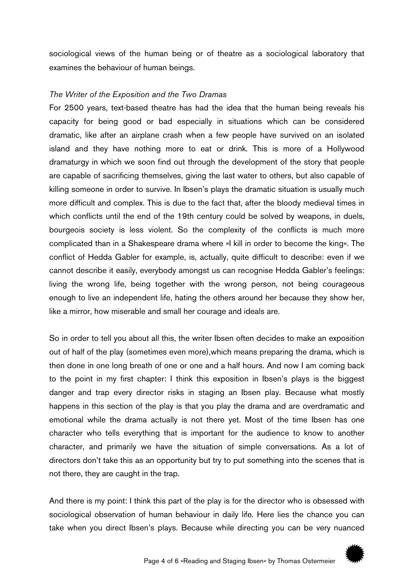sociological views of the human being or of theatre as a sociological laboratory that examines the behaviour of human beings.

## *The Writer of the Exposition and the Two Dramas*

For 2500 years, text-based theatre has had the idea that the human being reveals his capacity for being good or bad especially in situations which can be considered dramatic, like after an airplane crash when a few people have survived on an isolated island and they have nothing more to eat or drink. This is more of a Hollywood dramaturgy in which we soon find out through the development of the story that people are capable of sacrificing themselves, giving the last water to others, but also capable of killing someone in order to survive. In Ibsen's plays the dramatic situation is usually much more difficult and complex. This is due to the fact that, after the bloody medieval times in which conflicts until the end of the 19th century could be solved by weapons, in duels, bourgeois society is less violent. So the complexity of the conflicts is much more complicated than in a Shakespeare drama where »I kill in order to become the king«. The conflict of Hedda Gabler for example, is, actually, quite difficult to describe: even if we cannot describe it easily, everybody amongst us can recognise Hedda Gabler's feelings: living the wrong life, being together with the wrong person, not being courageous enough to live an independent life, hating the others around her because they show her, like a mirror, how miserable and small her courage and ideals are.

So in order to tell you about all this, the writer Ibsen often decides to make an exposition out of half of the play (sometimes even more),which means preparing the drama, which is then done in one long breath of one or one and a half hours. And now I am coming back to the point in my first chapter: I think this exposition in Ibsen's plays is the biggest danger and trap every director risks in staging an Ibsen play. Because what mostly happens in this section of the play is that you play the drama and are overdramatic and emotional while the drama actually is not there yet. Most of the time Ibsen has one character who tells everything that is important for the audience to know to another character, and primarily we have the situation of simple conversations. As a lot of directors don't take this as an opportunity but try to put something into the scenes that is not there, they are caught in the trap.

And there is my point: I think this part of the play is for the director who is obsessed with sociological observation of human behaviour in daily life. Here lies the chance you can take when you direct Ibsen's plays. Because while directing you can be very nuanced

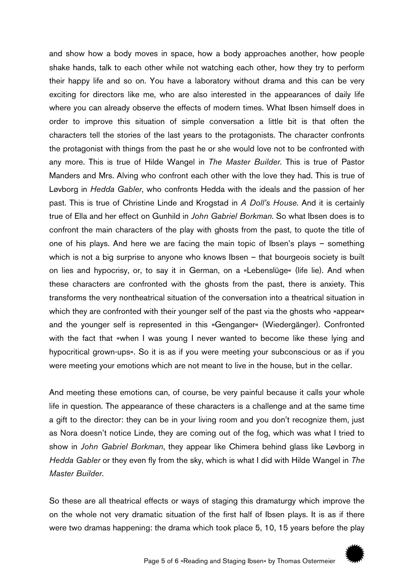and show how a body moves in space, how a body approaches another, how people shake hands, talk to each other while not watching each other, how they try to perform their happy life and so on. You have a laboratory without drama and this can be very exciting for directors like me, who are also interested in the appearances of daily life where you can already observe the effects of modern times. What Ibsen himself does in order to improve this situation of simple conversation a little bit is that often the characters tell the stories of the last years to the protagonists. The character confronts the protagonist with things from the past he or she would love not to be confronted with any more. This is true of Hilde Wangel in *The Master Builder*. This is true of Pastor Manders and Mrs. Alving who confront each other with the love they had. This is true of Løvborg in *Hedda Gabler*, who confronts Hedda with the ideals and the passion of her past. This is true of Christine Linde and Krogstad in *A Doll's House*. And it is certainly true of Ella and her effect on Gunhild in *John Gabriel Borkman*. So what Ibsen does is to confront the main characters of the play with ghosts from the past, to quote the title of one of his plays. And here we are facing the main topic of Ibsen's plays – something which is not a big surprise to anyone who knows Ibsen – that bourgeois society is built on lies and hypocrisy, or, to say it in German, on a »Lebenslüge« (life lie). And when these characters are confronted with the ghosts from the past, there is anxiety. This transforms the very nontheatrical situation of the conversation into a theatrical situation in which they are confronted with their younger self of the past via the ghosts who »appear« and the younger self is represented in this »Genganger« (Wiedergänger). Confronted with the fact that »when I was young I never wanted to become like these lying and hypocritical grown-ups«. So it is as if you were meeting your subconscious or as if you were meeting your emotions which are not meant to live in the house, but in the cellar.

And meeting these emotions can, of course, be very painful because it calls your whole life in question. The appearance of these characters is a challenge and at the same time a gift to the director: they can be in your living room and you don't recognize them, just as Nora doesn't notice Linde, they are coming out of the fog, which was what I tried to show in *John Gabriel Borkman*, they appear like Chimera behind glass like Løvborg in *Hedda Gabler* or they even fly from the sky, which is what I did with Hilde Wangel in *The Master Builder*.

So these are all theatrical effects or ways of staging this dramaturgy which improve the on the whole not very dramatic situation of the first half of Ibsen plays. It is as if there were two dramas happening: the drama which took place 5, 10, 15 years before the play